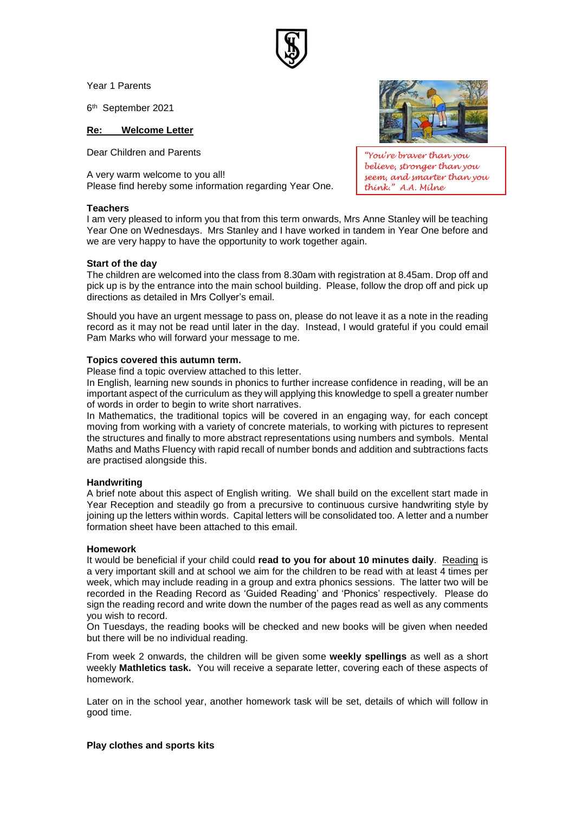Year 1 Parents

6 th September 2021

## **Re: Welcome Letter**

Dear Children and Parents

A very warm welcome to you all! Please find hereby some information regarding Year One.

### **Teachers**



*"You're braver than you believe, stronger than you seem, and smarter than you think." A.A. Milne*

I am very pleased to inform you that from this term onwards, Mrs Anne Stanley will be teaching Year One on Wednesdays. Mrs Stanley and I have worked in tandem in Year One before and we are very happy to have the opportunity to work together again.

### **Start of the day**

The children are welcomed into the class from 8.30am with registration at 8.45am. Drop off and pick up is by the entrance into the main school building. Please, follow the drop off and pick up directions as detailed in Mrs Collyer's email.

Should you have an urgent message to pass on, please do not leave it as a note in the reading record as it may not be read until later in the day. Instead, I would grateful if you could email Pam Marks who will forward your message to me.

### **Topics covered this autumn term.**

Please find a topic overview attached to this letter.

In English, learning new sounds in phonics to further increase confidence in reading, will be an important aspect of the curriculum as they will applying this knowledge to spell a greater number of words in order to begin to write short narratives.

In Mathematics, the traditional topics will be covered in an engaging way, for each concept moving from working with a variety of concrete materials, to working with pictures to represent the structures and finally to more abstract representations using numbers and symbols. Mental Maths and Maths Fluency with rapid recall of number bonds and addition and subtractions facts are practised alongside this.

### **Handwriting**

A brief note about this aspect of English writing. We shall build on the excellent start made in Year Reception and steadily go from a precursive to continuous cursive handwriting style by joining up the letters within words. Capital letters will be consolidated too. A letter and a number formation sheet have been attached to this email.

### **Homework**

It would be beneficial if your child could **read to you for about 10 minutes daily**. Reading is a very important skill and at school we aim for the children to be read with at least 4 times per week, which may include reading in a group and extra phonics sessions. The latter two will be recorded in the Reading Record as 'Guided Reading' and 'Phonics' respectively. Please do sign the reading record and write down the number of the pages read as well as any comments you wish to record.

On Tuesdays, the reading books will be checked and new books will be given when needed but there will be no individual reading.

From week 2 onwards, the children will be given some **weekly spellings** as well as a short weekly **Mathletics task.** You will receive a separate letter, covering each of these aspects of homework.

Later on in the school year, another homework task will be set, details of which will follow in good time.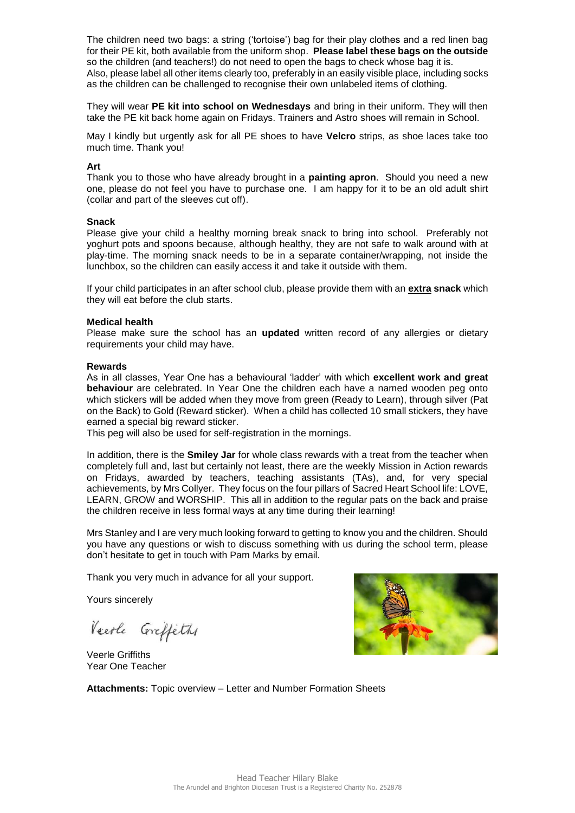The children need two bags: a string ('tortoise') bag for their play clothes and a red linen bag for their PE kit, both available from the uniform shop. **Please label these bags on the outside** so the children (and teachers!) do not need to open the bags to check whose bag it is. Also, please label all other items clearly too, preferably in an easily visible place, including socks as the children can be challenged to recognise their own unlabeled items of clothing.

They will wear **PE kit into school on Wednesdays** and bring in their uniform. They will then take the PE kit back home again on Fridays. Trainers and Astro shoes will remain in School.

May I kindly but urgently ask for all PE shoes to have **Velcro** strips, as shoe laces take too much time. Thank you!

# **Art**

Thank you to those who have already brought in a **painting apron**. Should you need a new one, please do not feel you have to purchase one. I am happy for it to be an old adult shirt (collar and part of the sleeves cut off).

### **Snack**

Please give your child a healthy morning break snack to bring into school. Preferably not yoghurt pots and spoons because, although healthy, they are not safe to walk around with at play-time. The morning snack needs to be in a separate container/wrapping, not inside the lunchbox, so the children can easily access it and take it outside with them.

If your child participates in an after school club, please provide them with an **extra snack** which they will eat before the club starts.

### **Medical health**

Please make sure the school has an **updated** written record of any allergies or dietary requirements your child may have.

### **Rewards**

As in all classes, Year One has a behavioural 'ladder' with which **excellent work and great behaviour** are celebrated. In Year One the children each have a named wooden peg onto which stickers will be added when they move from green (Ready to Learn), through silver (Pat on the Back) to Gold (Reward sticker). When a child has collected 10 small stickers, they have earned a special big reward sticker.

This peg will also be used for self-registration in the mornings.

In addition, there is the **Smiley Jar** for whole class rewards with a treat from the teacher when completely full and, last but certainly not least, there are the weekly Mission in Action rewards on Fridays, awarded by teachers, teaching assistants (TAs), and, for very special achievements, by Mrs Collyer. They focus on the four pillars of Sacred Heart School life: LOVE, LEARN, GROW and WORSHIP. This all in addition to the regular pats on the back and praise the children receive in less formal ways at any time during their learning!

Mrs Stanley and I are very much looking forward to getting to know you and the children. Should you have any questions or wish to discuss something with us during the school term, please don't hesitate to get in touch with Pam Marks by email.

Thank you very much in advance for all your support.

Yours sincerely

Veerle Coreffeths

Veerle Griffiths Year One Teacher



**Attachments:** Topic overview – Letter and Number Formation Sheets